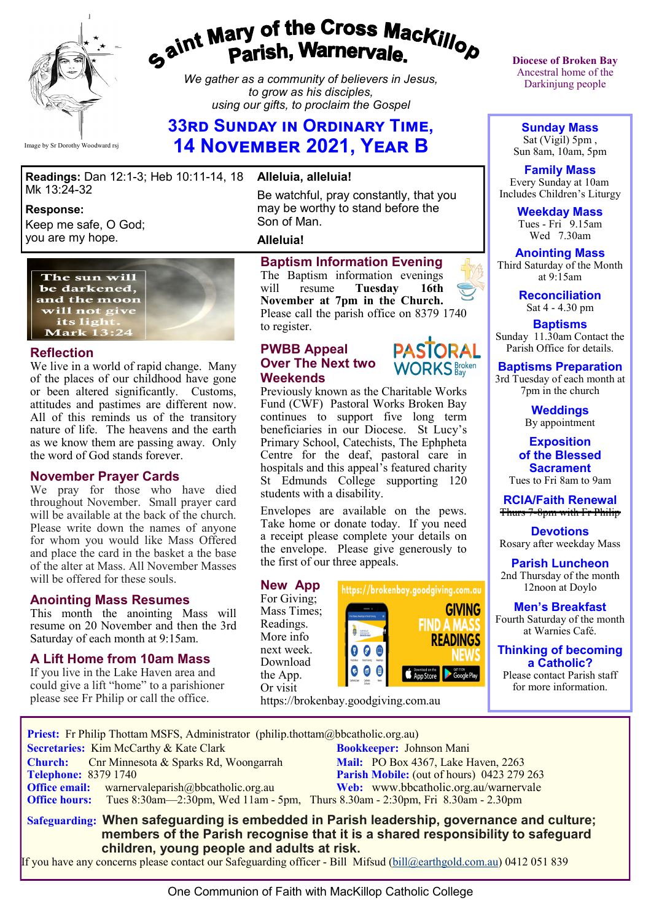

# gaint Mary of the Cross Mackillop<br>g<sup>aint</sup> Parish, Warnervale.

*We gather as a community of believers in Jesus, to grow as his disciples, using our gifts, to proclaim the Gospel*

# **33rd Sunday in Ordinary Time, 14 November 2021, Year B**

**Readings:** Dan 12:1-3; Heb 10:11-14, 18 **Alleluia, alleluia!** Mk 13:24-32

#### **Response:**

Keep me safe, O God; you are my hope.



#### **Reflection**

We live in a world of rapid change. Many of the places of our childhood have gone or been altered significantly. Customs, attitudes and pastimes are different now. All of this reminds us of the transitory nature of life. The heavens and the earth as we know them are passing away. Only the word of God stands forever.

#### **November Prayer Cards**

We pray for those who have died throughout November. Small prayer card will be available at the back of the church. Please write down the names of anyone for whom you would like Mass Offered and place the card in the basket a the base of the alter at Mass. All November Masses will be offered for these souls.

#### **Anointing Mass Resumes**

This month the anointing Mass will resume on 20 November and then the 3rd Saturday of each month at 9:15am.

#### **A Lift Home from 10am Mass**

If you live in the Lake Haven area and could give a lift "home" to a parishioner please see Fr Philip or call the office.

Be watchful, pray constantly, that you may be worthy to stand before the Son of Man.

#### **Alleluia!**

#### **Baptism Information Evening**

The Baptism information evenings will resume **Tuesday 16th November at 7pm in the Church.**  Please call the parish office on 8379 1740 to register.

> **PASTORAL WORKS** Broken

#### **PWBB Appeal Over The Next two Weekends**



Envelopes are available on the pews. Take home or donate today. If you need a receipt please complete your details on the envelope. Please give generously to the first of our three appeals.

#### **New App**

For Giving; Mass Times; Readings. More info next week. Download the App. Or visit



https://brokenbay.goodgiving.com.au

**Diocese of Broken Bay**  Ancestral home of the Darkinjung people

**Sunday Mass** Sat (Vigil) 5pm , Sun 8am, 10am, 5pm

**Family Mass**  Every Sunday at 10am Includes Children's Liturgy

> **Weekday Mass** Tues - Fri 9.15am Wed 7.30am

**Anointing Mass** Third Saturday of the Month at 9:15am



**Baptisms** Sunday 11.30am Contact the Parish Office for details.

**Baptisms Preparation**

3rd Tuesday of each month at 7pm in the church

> **Weddings**  By appointment

**Exposition of the Blessed Sacrament** Tues to Fri 8am to 9am

**RCIA/Faith Renewal**  Thurs 7-8pm with Fr Philip

**Devotions** Rosary after weekday Mass

**Parish Luncheon** 2nd Thursday of the month 12noon at Doylo

**Men's Breakfast** Fourth Saturday of the month at Warnies Café.

#### **Thinking of becoming a Catholic?**

Please contact Parish staff for more information.

 **Priest:** Fr Philip Thottam MSFS, Administrator (philip.thottam@bbcatholic.org.au) **Secretaries:** Kim McCarthy & Kate Clark **Bookkeeper:** Johnson Mani **Church:** Cnr Minnesota & Sparks Rd, Woongarrah **Mail: PO Box 4367, Lake Haven, 2263**<br> **Parish Mobile:** (out of hours) 0423 279 **Parish Mobile:** (out of hours) 0423 279 263<br>Web: www.bbcatholic.org.au/warnervale **Office email:** warnervaleparish@bbcatholic.org.au **Office hours:** Tues 8:30am—2:30pm, Wed 11am - 5pm, Thurs 8.30am - 2:30pm, Fri 8.30am - 2.30pm  **Safeguarding: When safeguarding is embedded in Parish leadership, governance and culture;** 

 **members of the Parish recognise that it is a shared responsibility to safeguard children, young people and adults at risk.**

If you have any concerns please contact our Safeguarding officer - Bill Mifsud ([bill@earthgold.com.au\)](mailto:bill@earthgold.com.au) 0412 051 839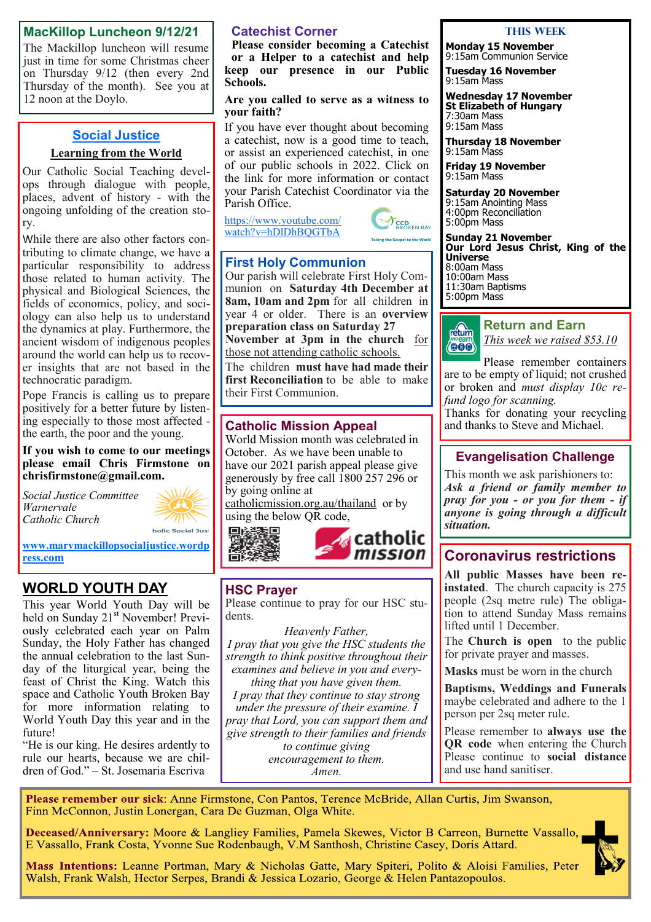#### **MacKillop Luncheon 9/12/21**

The Mackillop luncheon will resume just in time for some Christmas cheer on Thursday 9/12 (then every 2nd Thursday of the month). See you at 12 noon at the Doylo.

#### **Social Justice**

#### **Learning from the World**

Our Catholic Social Teaching develops through dialogue with people, places, advent of history - with the ongoing unfolding of the creation story.

While there are also other factors contributing to climate change, we have a particular responsibility to address those related to human activity. The physical and Biological Sciences, the fields of economics, policy, and sociology can also help us to understand the dynamics at play. Furthermore, the ancient wisdom of indigenous peoples around the world can help us to recover insights that are not based in the technocratic paradigm.

Pope Francis is calling us to prepare positively for a better future by listening especially to those most affected the earth, the poor and the young.

**If you wish to come to our meetings please email Chris Firmstone on chrisfirmstone@gmail.com.**

*Social Justice Committee Warnervale Catholic Church* 



**[www.marymackillopsocialjustice.wordp](http://www.marymackillopsocialjustice.wordpress.com) ress[.com](http://www.marymackillopsocialjustice.wordpress.com)**

# **WORLD YOUTH DAY**

This year World Youth Day will be held on Sunday 21<sup>st</sup> November! Previously celebrated each year on Palm Sunday, the Holy Father has changed the annual celebration to the last Sunday of the liturgical year, being the feast of Christ the King. Watch this space and Catholic Youth Broken Bay for more information relating to World Youth Day this year and in the future!

"He is our king. He desires ardently to rule our hearts, because we are children of God." – St. Josemaria Escriva

#### **Catechist Corner**

**Please consider becoming a Catechist or a Helper to a catechist and help keep our presence in our Public Schools.**

#### **Are you called to serve as a witness to your faith?**

If you have ever thought about becoming a catechist, now is a good time to teach, or assist an experienced catechist, in one of our public schools in 2022. Click on the link for more information or contact your Parish Catechist Coordinator via the Parish Office.

[https://www.youtube.com/](https://www.youtube.com/watch?v=hDlDhBQGTbA) [watch?v=hDlDhBQGTbA](https://www.youtube.com/watch?v=hDlDhBQGTbA)



### **First Holy Communion**

Our parish will celebrate First Holy Communion on **Saturday 4th December at 8am, 10am and 2pm** for all children in year 4 or older. There is an **overview preparation class on Saturday 27 November at 3pm in the church** for those not attending catholic schools.

The children **must have had made their first Reconciliation** to be able to make their First Communion.

#### **Catholic Mission Appeal**

World Mission month was celebrated in October. As we have been unable to have our 2021 parish appeal please give generously by free call 1800 257 296 or by going online at catholicmission.org.au/thailand or by

using the below QR code, 黒紫漆具

en.



## **HSC Prayer**

Please continue to pray for our HSC students.

*Heavenly Father, I pray that you give the HSC students the strength to think positive throughout their examines and believe in you and everything that you have given them. I pray that they continue to stay strong under the pressure of their examine. I pray that Lord, you can support them and give strength to their families and friends to continue giving encouragement to them.*

*Amen.*

#### **This Week**

**Monday 15 November** 9:15am Communion Service

**Tuesday 16 November** 9:15am Mass

**Wednesday 17 November St Elizabeth of Hungary** 7:30am Mass 9:15am Mass

**Thursday 18 November** 9:15am Mass

**Friday 19 November** 9:15am Mass

**Saturday 20 November** 9:15am Anointing Mass 4:00pm Reconciliation 5:00pm Mass

**Sunday 21 November Our Lord Jesus Christ, King of the Universe** 8:00am Mass 10:00am Mass 11:30am Baptisms 5:00pm Mass



**Return and Earn**  *This week we raised \$53.10*

Please remember containers are to be empty of liquid; not crushed or broken and *must display 10c refund logo for scanning.*

Thanks for donating your recycling and thanks to Steve and Michael.

## **Evangelisation Challenge**

This month we ask parishioners to: *Ask a friend or family member to pray for you - or you for them - if anyone is going through a difficult situation.*

# **Coronavirus restrictions**

**All public Masses have been reinstated**. The church capacity is 275 people (2sq metre rule) The obligation to attend Sunday Mass remains lifted until 1 December.

The **Church is open** to the public for private prayer and masses.

**Masks** must be worn in the church

**Baptisms, Weddings and Funerals**  maybe celebrated and adhere to the 1 person per 2sq meter rule.

Please remember to **always use the QR code** when entering the Church Please continue to **social distance** and use hand sanitiser.

Please remember our sick: Anne Firmstone, Con Pantos, Terence McBride, Allan Curtis, Jim Swanson, Finn McConnon, Justin Lonergan, Cara De Guzman, Olga White.

Deceased/Anniversary: Moore & Langliey Families, Pamela Skewes, Victor B Carreon, Burnette Vassallo, E Vassallo, Frank Costa, Yvonne Sue Rodenbaugh, V.M Santhosh, Christine Casey, Doris Attard.

Mass Intentions: Leanne Portman, Mary & Nicholas Gatte, Mary Spiteri, Polito & Aloisi Families, Peter Walsh, Frank Walsh, Hector Serpes, Brandi & Jessica Lozario, George & Helen Pantazopoulos.

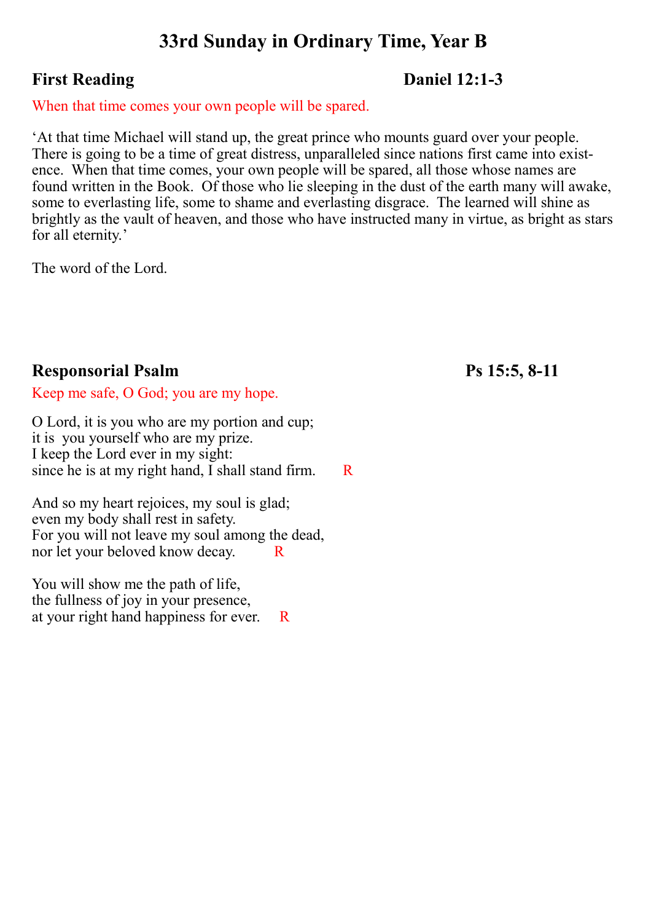# **33rd Sunday in Ordinary Time, Year B**

# **First Reading Daniel 12:1-3**

# When that time comes your own people will be spared.

'At that time Michael will stand up, the great prince who mounts guard over your people. There is going to be a time of great distress, unparalleled since nations first came into existence. When that time comes, your own people will be spared, all those whose names are found written in the Book. Of those who lie sleeping in the dust of the earth many will awake, some to everlasting life, some to shame and everlasting disgrace. The learned will shine as brightly as the vault of heaven, and those who have instructed many in virtue, as bright as stars for all eternity.'

The word of the Lord.

# **Responsorial Psalm Ps 15:5, 8-11**

Keep me safe, O God; you are my hope.

O Lord, it is you who are my portion and cup; it is you yourself who are my prize. I keep the Lord ever in my sight: since he is at my right hand, I shall stand firm.  $R$ 

And so my heart rejoices, my soul is glad; even my body shall rest in safety. For you will not leave my soul among the dead, nor let your beloved know decay. R

You will show me the path of life, the fullness of joy in your presence, at your right hand happiness for ever. R